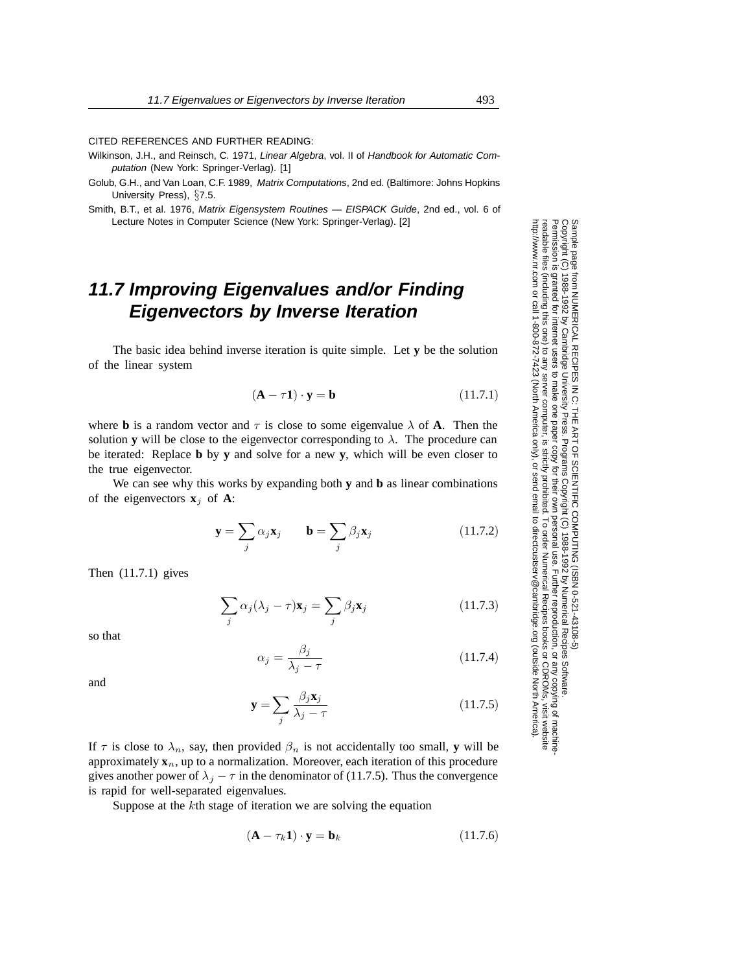CITED REFERENCES AND FURTHER READING:

- Wilkinson, J.H., and Reinsch, C. 1971, Linear Algebra, vol. II of Handbook for Automatic Computation (New York: Springer-Verlag). [1]
- Golub, G.H., and Van Loan, C.F. 1989, Matrix Computations, 2nd ed. (Baltimore: Johns Hopkins University Press), *§*7.5.
- Smith, B.T., et al. 1976, Matrix Eigensystem Routines EISPACK Guide, 2nd ed., vol. 6 of Lecture Notes in Computer Science (New York: Springer-Verlag). [2]

## **11.7 Improving Eigenvalues and/or Finding Eigenvectors by Inverse Iteration**

The basic idea behind inverse iteration is quite simple. Let **y** be the solution of the linear system

$$
(\mathbf{A} - \tau \mathbf{1}) \cdot \mathbf{y} = \mathbf{b} \tag{11.7.1}
$$

where **b** is a random vector and  $\tau$  is close to some eigenvalue  $\lambda$  of **A**. Then the solution **y** will be close to the eigenvector corresponding to  $\lambda$ . The procedure can be iterated: Replace **b** by **y** and solve for a new **y**, which will be even closer to the true eigenvector.

We can see why this works by expanding both **y** and **b** as linear combinations of the eigenvectors  $\mathbf{x}_i$  of **A**:

$$
\mathbf{y} = \sum_{j} \alpha_{j} \mathbf{x}_{j} \qquad \mathbf{b} = \sum_{j} \beta_{j} \mathbf{x}_{j} \qquad (11.7.2)
$$

Then (11.7.1) gives

$$
\sum_{j} \alpha_{j} (\lambda_{j} - \tau) \mathbf{x}_{j} = \sum_{j} \beta_{j} \mathbf{x}_{j}
$$
 (11.7.3)

so that

$$
\alpha_j = \frac{\beta_j}{\lambda_j - \tau} \tag{11.7.4}
$$

and

$$
\mathbf{y} = \sum_{j} \frac{\beta_j \mathbf{x}_j}{\lambda_j - \tau} \tag{11.7.5}
$$

If  $\tau$  is close to  $\lambda_n$ , say, then provided  $\beta_n$  is not accidentally too small, **y** will be approximately  $\mathbf{x}_n$ , up to a normalization. Moreover, each iteration of this procedure gives another power of  $\lambda_j - \tau$  in the denominator of (11.7.5). Thus the convergence is rapid for well-separated eigenvalues.

Suppose at the kth stage of iteration we are solving the equation

$$
(\mathbf{A} - \tau_k \mathbf{1}) \cdot \mathbf{y} = \mathbf{b}_k \tag{11.7.6}
$$

Permission is granted for internet users to make one paper copy for their own personal use. Further reproduction, or any copyin Copyright (C) 1988-1992 by Cambridge University Press.Programs Copyright (C) 1988-1992 by Numerical Recipes Software. Sample page from NUMERICAL RECIPES IN C: THE ART OF SCIENTIFIC COMPUTING (ISBN 0-521-43108-5) g of machinereadable files (including this one) to any servercomputer, is strictly prohibited. To order Numerical Recipes booksor CDROMs, visit website http://www.nr.com or call 1-800-872-7423 (North America only),or send email to directcustserv@cambridge.org (outside North America).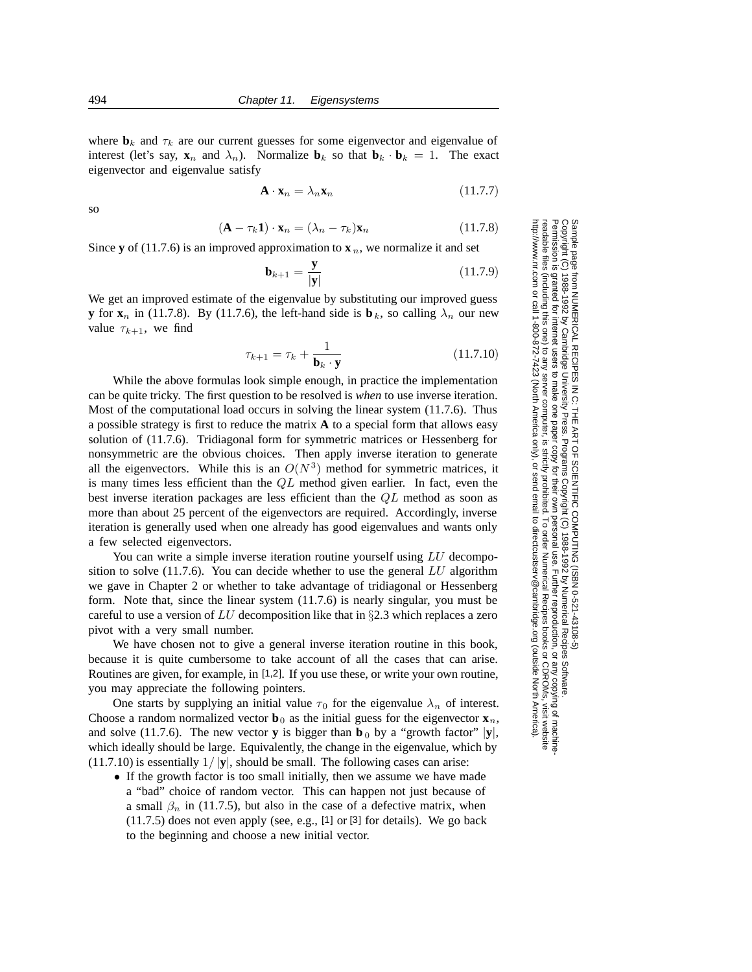where  $\mathbf{b}_k$  and  $\tau_k$  are our current guesses for some eigenvector and eigenvalue of interest (let's say,  $\mathbf{x}_n$  and  $\lambda_n$ ). Normalize  $\mathbf{b}_k$  so that  $\mathbf{b}_k \cdot \mathbf{b}_k = 1$ . The exact eigenvector and eigenvalue satisfy

$$
\mathbf{A} \cdot \mathbf{x}_n = \lambda_n \mathbf{x}_n \tag{11.7.7}
$$

so

$$
(\mathbf{A} - \tau_k \mathbf{1}) \cdot \mathbf{x}_n = (\lambda_n - \tau_k) \mathbf{x}_n \tag{11.7.8}
$$

Since **y** of (11.7.6) is an improved approximation to  $\mathbf{x}_n$ , we normalize it and set

$$
\mathbf{b}_{k+1} = \frac{\mathbf{y}}{|\mathbf{y}|} \tag{11.7.9}
$$

We get an improved estimate of the eigenvalue by substituting our improved guess **y** for  $\mathbf{x}_n$  in (11.7.8). By (11.7.6), the left-hand side is  $\mathbf{b}_k$ , so calling  $\lambda_n$  our new value  $\tau_{k+1}$ , we find

$$
\tau_{k+1} = \tau_k + \frac{1}{\mathbf{b}_k \cdot \mathbf{y}} \tag{11.7.10}
$$

While the above formulas look simple enough, in practice the implementation can be quite tricky. The first question to be resolved is *when* to use inverse iteration. Most of the computational load occurs in solving the linear system (11.7.6). Thus a possible strategy is first to reduce the matrix **A** to a special form that allows easy solution of (11.7.6). Tridiagonal form for symmetric matrices or Hessenberg for nonsymmetric are the obvious choices. Then apply inverse iteration to generate all the eigenvectors. While this is an  $O(N^3)$  method for symmetric matrices, it is many times less efficient than the  $QL$  method given earlier. In fact, even the best inverse iteration packages are less efficient than the QL method as soon as more than about 25 percent of the eigenvectors are required. Accordingly, inverse iteration is generally used when one already has good eigenvalues and wants only a few selected eigenvectors.

You can write a simple inverse iteration routine yourself using LU decomposition to solve  $(11.7.6)$ . You can decide whether to use the general LU algorithm we gave in Chapter 2 or whether to take advantage of tridiagonal or Hessenberg form. Note that, since the linear system (11.7.6) is nearly singular, you must be careful to use a version of LU decomposition like that in *§*2.3 which replaces a zero pivot with a very small number.

We have chosen not to give a general inverse iteration routine in this book, because it is quite cumbersome to take account of all the cases that can arise. Routines are given, for example, in [1,2]. If you use these, or write your own routine, you may appreciate the following pointers.

One starts by supplying an initial value  $\tau_0$  for the eigenvalue  $\lambda_n$  of interest. Choose a random normalized vector  $\mathbf{b}_0$  as the initial guess for the eigenvector  $\mathbf{x}_n$ , and solve (11.7.6). The new vector **y** is bigger than **b**<sub>0</sub> by a "growth factor"  $|\mathbf{y}|$ , which ideally should be large. Equivalently, the change in the eigenvalue, which by (11.7.10) is essentially 1/ *|***y***|*, should be small. The following cases can arise:

*•* If the growth factor is too small initially, then we assume we have made a "bad" choice of random vector. This can happen not just because of a small  $\beta_n$  in (11.7.5), but also in the case of a defective matrix, when (11.7.5) does not even apply (see, e.g., [1] or [3] for details). We go back to the beginning and choose a new initial vector.

Permission is granted for internet users to make one paper copy for their own personal use. Further reproduction, or any copyin Copyright (C) 1988-1992 by Cambridge University Press.Programs Copyright (C) 1988-1992 by Numerical Recipes Software. Sample page from NUMERICAL RECIPES IN C: THE ART OF SCIENTIFIC COMPUTING (ISBN 0-521-43108-5) g of machinereadable files (including this one) to any servercomputer, is strictly prohibited. To order Numerical Recipes booksor CDROMs, visit website http://www.nr.com or call 1-800-872-7423 (North America only),or send email to directcustserv@cambridge.org (outside North America).